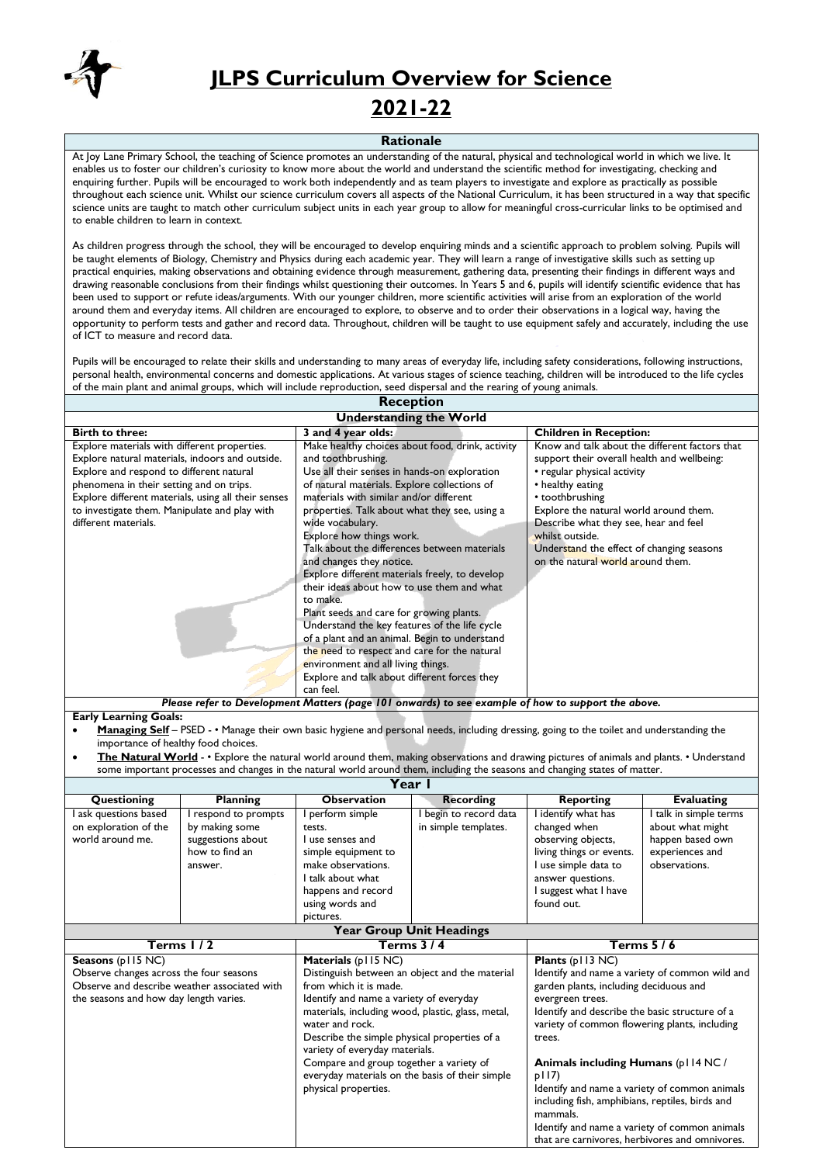

## **JLPS Curriculum Overview for Science**

## **2021-22**

## **Rationale**

At Joy Lane Primary School, the teaching of Science promotes an understanding of the natural, physical and technological world in which we live. It enables us to foster our children's curiosity to know more about the world and understand the scientific method for investigating, checking and enquiring further. Pupils will be encouraged to work both independently and as team players to investigate and explore as practically as possible throughout each science unit. Whilst our science curriculum covers all aspects of the National Curriculum, it has been structured in a way that specific science units are taught to match other curriculum subject units in each year group to allow for meaningful cross-curricular links to be optimised and to enable children to learn in context.

As children progress through the school, they will be encouraged to develop enquiring minds and a scientific approach to problem solving. Pupils will be taught elements of Biology, Chemistry and Physics during each academic year. They will learn a range of investigative skills such as setting up practical enquiries, making observations and obtaining evidence through measurement, gathering data, presenting their findings in different ways and drawing reasonable conclusions from their findings whilst questioning their outcomes. In Years 5 and 6, pupils will identify scientific evidence that has been used to support or refute ideas/arguments. With our younger children, more scientific activities will arise from an exploration of the world around them and everyday items. All children are encouraged to explore, to observe and to order their observations in a logical way, having the opportunity to perform tests and gather and record data. Throughout, children will be taught to use equipment safely and accurately, including the use of ICT to measure and record data.

Pupils will be encouraged to relate their skills and understanding to many areas of everyday life, including safety considerations, following instructions, personal health, environmental concerns and domestic applications. At various stages of science teaching, children will be introduced to the life cycles of the main plant and animal groups, which will include reproduction, seed dispersal and the rearing of young animals. **Reception**

| Reception                                                                                                                                                                                                                                                                                                               |                                                                                                                                                                                                                                                                                                                                                                                                                                                                                                                                                                                                                                                                                                                                                                                                             |                                                                                                                                                                                                                                                                                                                                                             |  |  |  |  |
|-------------------------------------------------------------------------------------------------------------------------------------------------------------------------------------------------------------------------------------------------------------------------------------------------------------------------|-------------------------------------------------------------------------------------------------------------------------------------------------------------------------------------------------------------------------------------------------------------------------------------------------------------------------------------------------------------------------------------------------------------------------------------------------------------------------------------------------------------------------------------------------------------------------------------------------------------------------------------------------------------------------------------------------------------------------------------------------------------------------------------------------------------|-------------------------------------------------------------------------------------------------------------------------------------------------------------------------------------------------------------------------------------------------------------------------------------------------------------------------------------------------------------|--|--|--|--|
| <b>Understanding the World</b>                                                                                                                                                                                                                                                                                          |                                                                                                                                                                                                                                                                                                                                                                                                                                                                                                                                                                                                                                                                                                                                                                                                             |                                                                                                                                                                                                                                                                                                                                                             |  |  |  |  |
| <b>Birth to three:</b>                                                                                                                                                                                                                                                                                                  | 3 and 4 year olds:                                                                                                                                                                                                                                                                                                                                                                                                                                                                                                                                                                                                                                                                                                                                                                                          | <b>Children in Reception:</b>                                                                                                                                                                                                                                                                                                                               |  |  |  |  |
| Explore materials with different properties.<br>Explore natural materials, indoors and outside.<br>Explore and respond to different natural<br>phenomena in their setting and on trips.<br>Explore different materials, using all their senses<br>to investigate them. Manipulate and play with<br>different materials. | Make healthy choices about food, drink, activity<br>and toothbrushing.<br>Use all their senses in hands-on exploration<br>of natural materials. Explore collections of<br>materials with similar and/or different<br>properties. Talk about what they see, using a<br>wide vocabulary.<br>Explore how things work.<br>Talk about the differences between materials<br>and changes they notice.<br>Explore different materials freely, to develop<br>their ideas about how to use them and what<br>to make.<br>Plant seeds and care for growing plants.<br>Understand the key features of the life cycle<br>of a plant and an animal. Begin to understand<br>the need to respect and care for the natural<br>environment and all living things.<br>Explore and talk about different forces they<br>can feel. | Know and talk about the different factors that<br>support their overall health and wellbeing:<br>• regular physical activity<br>• healthy eating<br>• toothbrushing<br>Explore the natural world around them.<br>Describe what they see, hear and feel<br>whilst outside.<br>Understand the effect of changing seasons<br>on the natural world around them. |  |  |  |  |
|                                                                                                                                                                                                                                                                                                                         | Please refer to Development Matters (page 101 onwards) to see example of how to support the above.                                                                                                                                                                                                                                                                                                                                                                                                                                                                                                                                                                                                                                                                                                          |                                                                                                                                                                                                                                                                                                                                                             |  |  |  |  |

**Early Learning Goals:**

 **Managing Self** – PSED - • Manage their own basic hygiene and personal needs, including dressing, going to the toilet and understanding the importance of healthy food choices.

 **The Natural World** - • Explore the natural world around them, making observations and drawing pictures of animals and plants. • Understand some important processes and changes in the natural world around them, including the seasons and changing states of matter.

| Year                                                             |                                                                                        |                                                                                                                                                                      |                                              |                                                                                                                                                                       |                                                                                                    |  |  |
|------------------------------------------------------------------|----------------------------------------------------------------------------------------|----------------------------------------------------------------------------------------------------------------------------------------------------------------------|----------------------------------------------|-----------------------------------------------------------------------------------------------------------------------------------------------------------------------|----------------------------------------------------------------------------------------------------|--|--|
| Questioning                                                      | <b>Planning</b>                                                                        | <b>Observation</b>                                                                                                                                                   | Recording                                    | <b>Reporting</b>                                                                                                                                                      | <b>Evaluating</b>                                                                                  |  |  |
| ask questions based<br>on exploration of the<br>world around me. | respond to prompts<br>by making some<br>suggestions about<br>how to find an<br>answer. | perform simple<br>tests.<br>l use senses and<br>simple equipment to<br>make observations.<br>I talk about what<br>happens and record<br>using words and<br>pictures. | begin to record data<br>in simple templates. | identify what has<br>changed when<br>observing objects,<br>living things or events.<br>l use simple data to<br>answer questions.<br>suggest what I have<br>found out. | I talk in simple terms<br>about what might<br>happen based own<br>experiences and<br>observations. |  |  |

| <b>Year Group Unit Headings</b>                                                        |                                                                                                                                                        |                                                                                                                                                            |  |  |  |
|----------------------------------------------------------------------------------------|--------------------------------------------------------------------------------------------------------------------------------------------------------|------------------------------------------------------------------------------------------------------------------------------------------------------------|--|--|--|
| Terms $1/2$                                                                            | <b>Terms 3/4</b>                                                                                                                                       | Terms $5/6$                                                                                                                                                |  |  |  |
| Seasons (p115 NC)<br>Observe changes across the four seasons                           | Materials (p115 NC)<br>Distinguish between an object and the material                                                                                  | Plants (p113 NC)<br>Identify and name a variety of common wild and                                                                                         |  |  |  |
| Observe and describe weather associated with<br>the seasons and how day length varies. | from which it is made.<br>Identify and name a variety of everyday                                                                                      | garden plants, including deciduous and<br>evergreen trees.                                                                                                 |  |  |  |
|                                                                                        | materials, including wood, plastic, glass, metal,<br>water and rock.<br>Describe the simple physical properties of a<br>variety of everyday materials. | Identify and describe the basic structure of a<br>variety of common flowering plants, including<br>trees.                                                  |  |  |  |
|                                                                                        | Compare and group together a variety of<br>everyday materials on the basis of their simple<br>physical properties.                                     | Animals including Humans (p114 NC/<br>p117<br>Identify and name a variety of common animals<br>including fish, amphibians, reptiles, birds and<br>mammals. |  |  |  |
|                                                                                        |                                                                                                                                                        | Identify and name a variety of common animals<br>that are carnivores, herbivores and omnivores.                                                            |  |  |  |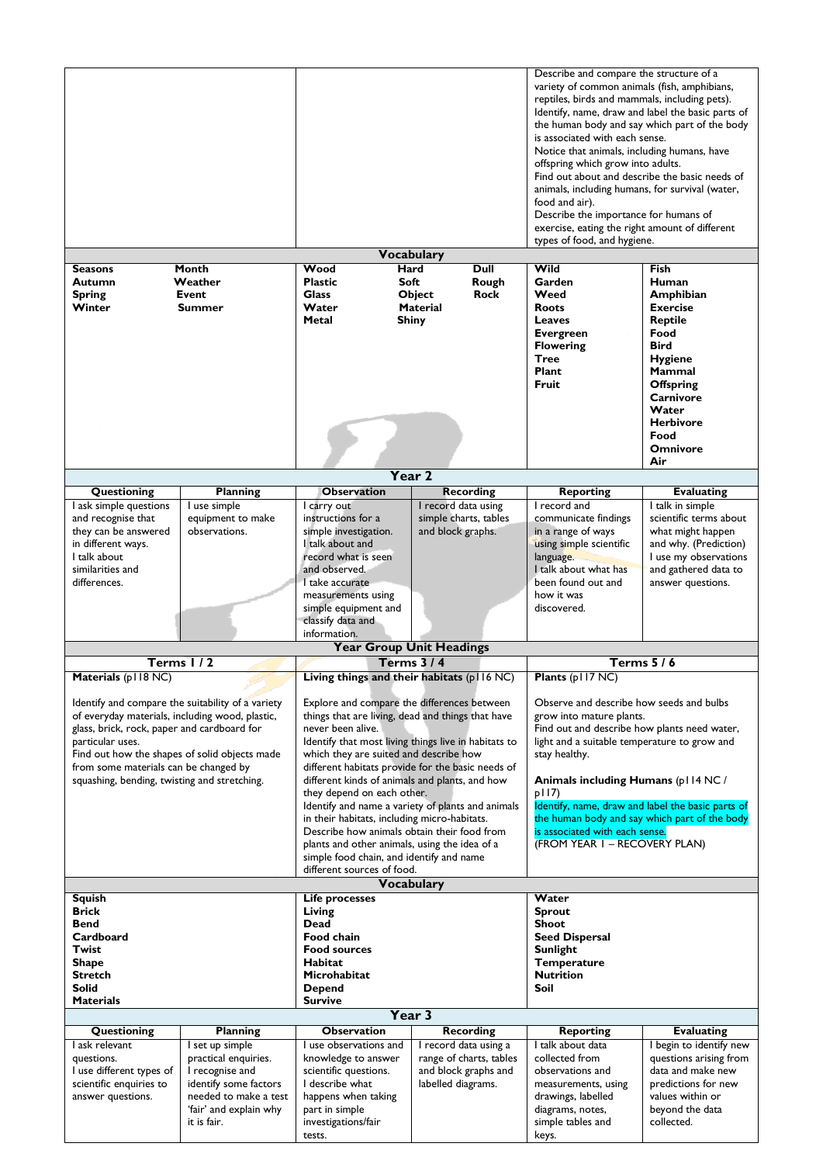|                                                                                        |                                       | <b>Vocabulary</b>                                                                           |                                           | Describe and compare the structure of a<br>variety of common animals (fish, amphibians,<br>reptiles, birds and mammals, including pets).<br>Identify, name, draw and label the basic parts of<br>the human body and say which part of the body<br>is associated with each sense.<br>Notice that animals, including humans, have<br>offspring which grow into adults.<br>Find out about and describe the basic needs of<br>animals, including humans, for survival (water,<br>food and air).<br>Describe the importance for humans of<br>exercise, eating the right amount of different<br>types of food, and hygiene. |                                                   |
|----------------------------------------------------------------------------------------|---------------------------------------|---------------------------------------------------------------------------------------------|-------------------------------------------|-----------------------------------------------------------------------------------------------------------------------------------------------------------------------------------------------------------------------------------------------------------------------------------------------------------------------------------------------------------------------------------------------------------------------------------------------------------------------------------------------------------------------------------------------------------------------------------------------------------------------|---------------------------------------------------|
| <b>Seasons</b>                                                                         | Month                                 | Wood<br>Hard                                                                                | Dull                                      | Wild                                                                                                                                                                                                                                                                                                                                                                                                                                                                                                                                                                                                                  | <b>Fish</b>                                       |
| Autumn                                                                                 | Weather                               | Soft<br><b>Plastic</b>                                                                      | Rough                                     | Garden                                                                                                                                                                                                                                                                                                                                                                                                                                                                                                                                                                                                                | Human                                             |
| <b>Spring</b>                                                                          | Event                                 | <b>Glass</b>                                                                                | Object<br><b>Rock</b>                     | Weed                                                                                                                                                                                                                                                                                                                                                                                                                                                                                                                                                                                                                  | <b>Amphibian</b>                                  |
| Winter                                                                                 | <b>Summer</b>                         | Water<br>Metal                                                                              | <b>Material</b><br><b>Shiny</b>           | <b>Roots</b><br>Leaves                                                                                                                                                                                                                                                                                                                                                                                                                                                                                                                                                                                                | <b>Exercise</b><br><b>Reptile</b>                 |
|                                                                                        |                                       |                                                                                             |                                           | <b>Evergreen</b>                                                                                                                                                                                                                                                                                                                                                                                                                                                                                                                                                                                                      | Food                                              |
|                                                                                        |                                       |                                                                                             |                                           | <b>Flowering</b>                                                                                                                                                                                                                                                                                                                                                                                                                                                                                                                                                                                                      | Bird                                              |
|                                                                                        |                                       |                                                                                             |                                           | <b>Tree</b>                                                                                                                                                                                                                                                                                                                                                                                                                                                                                                                                                                                                           | <b>Hygiene</b>                                    |
|                                                                                        |                                       |                                                                                             |                                           | Plant                                                                                                                                                                                                                                                                                                                                                                                                                                                                                                                                                                                                                 | <b>Mammal</b>                                     |
|                                                                                        |                                       |                                                                                             |                                           | Fruit                                                                                                                                                                                                                                                                                                                                                                                                                                                                                                                                                                                                                 | <b>Offspring</b>                                  |
|                                                                                        |                                       |                                                                                             |                                           |                                                                                                                                                                                                                                                                                                                                                                                                                                                                                                                                                                                                                       | <b>Carnivore</b><br>Water                         |
|                                                                                        |                                       |                                                                                             |                                           |                                                                                                                                                                                                                                                                                                                                                                                                                                                                                                                                                                                                                       | <b>Herbivore</b>                                  |
|                                                                                        |                                       |                                                                                             |                                           |                                                                                                                                                                                                                                                                                                                                                                                                                                                                                                                                                                                                                       | Food                                              |
|                                                                                        |                                       |                                                                                             |                                           |                                                                                                                                                                                                                                                                                                                                                                                                                                                                                                                                                                                                                       | <b>Omnivore</b>                                   |
|                                                                                        |                                       |                                                                                             |                                           |                                                                                                                                                                                                                                                                                                                                                                                                                                                                                                                                                                                                                       | Air                                               |
|                                                                                        |                                       | Year <sub>2</sub>                                                                           |                                           |                                                                                                                                                                                                                                                                                                                                                                                                                                                                                                                                                                                                                       |                                                   |
| Questioning<br>I ask simple questions                                                  | <b>Planning</b><br>I use simple       | <b>Observation</b><br>I carry out                                                           | <b>Recording</b><br>I record data using   | <b>Reporting</b><br>I record and                                                                                                                                                                                                                                                                                                                                                                                                                                                                                                                                                                                      | <b>Evaluating</b><br>I talk in simple             |
| and recognise that                                                                     | equipment to make                     | instructions for a                                                                          | simple charts, tables                     | communicate findings                                                                                                                                                                                                                                                                                                                                                                                                                                                                                                                                                                                                  | scientific terms about                            |
| they can be answered                                                                   | observations.                         | simple investigation.                                                                       | and block graphs.                         | in a range of ways                                                                                                                                                                                                                                                                                                                                                                                                                                                                                                                                                                                                    | what might happen                                 |
| in different ways.                                                                     |                                       | I talk about and                                                                            |                                           | using simple scientific                                                                                                                                                                                                                                                                                                                                                                                                                                                                                                                                                                                               | and why. (Prediction)                             |
| I talk about                                                                           |                                       | record what is seen                                                                         |                                           | language.                                                                                                                                                                                                                                                                                                                                                                                                                                                                                                                                                                                                             | I use my observations                             |
| similarities and<br>differences.                                                       |                                       | and observed.<br>I take accurate                                                            |                                           | I talk about what has<br>been found out and                                                                                                                                                                                                                                                                                                                                                                                                                                                                                                                                                                           | and gathered data to<br>answer questions.         |
|                                                                                        |                                       | measurements using                                                                          |                                           | how it was                                                                                                                                                                                                                                                                                                                                                                                                                                                                                                                                                                                                            |                                                   |
|                                                                                        |                                       | simple equipment and                                                                        |                                           | discovered.                                                                                                                                                                                                                                                                                                                                                                                                                                                                                                                                                                                                           |                                                   |
| classify data and                                                                      |                                       |                                                                                             |                                           |                                                                                                                                                                                                                                                                                                                                                                                                                                                                                                                                                                                                                       |                                                   |
|                                                                                        |                                       |                                                                                             |                                           |                                                                                                                                                                                                                                                                                                                                                                                                                                                                                                                                                                                                                       |                                                   |
|                                                                                        |                                       | information.                                                                                |                                           |                                                                                                                                                                                                                                                                                                                                                                                                                                                                                                                                                                                                                       |                                                   |
|                                                                                        |                                       |                                                                                             | <b>Year Group Unit Headings</b>           |                                                                                                                                                                                                                                                                                                                                                                                                                                                                                                                                                                                                                       |                                                   |
| Terms 1/2                                                                              |                                       |                                                                                             | <b>Terms 3/4</b>                          |                                                                                                                                                                                                                                                                                                                                                                                                                                                                                                                                                                                                                       | Terms $5/6$                                       |
| Materials (p118 NC)                                                                    |                                       | Living things and their habitats (p116 NC)                                                  |                                           | Plants (p117 NC)                                                                                                                                                                                                                                                                                                                                                                                                                                                                                                                                                                                                      |                                                   |
| Identify and compare the suitability of a variety                                      |                                       | Explore and compare the differences between                                                 |                                           | Observe and describe how seeds and bulbs                                                                                                                                                                                                                                                                                                                                                                                                                                                                                                                                                                              |                                                   |
| of everyday materials, including wood, plastic,                                        |                                       | things that are living, dead and things that have                                           |                                           | grow into mature plants.                                                                                                                                                                                                                                                                                                                                                                                                                                                                                                                                                                                              |                                                   |
| glass, brick, rock, paper and cardboard for                                            |                                       | never been alive.                                                                           |                                           | Find out and describe how plants need water,                                                                                                                                                                                                                                                                                                                                                                                                                                                                                                                                                                          |                                                   |
| particular uses.                                                                       |                                       | Identify that most living things live in habitats to                                        |                                           | light and a suitable temperature to grow and<br>stay healthy.                                                                                                                                                                                                                                                                                                                                                                                                                                                                                                                                                         |                                                   |
| Find out how the shapes of solid objects made<br>from some materials can be changed by |                                       | which they are suited and describe how<br>different habitats provide for the basic needs of |                                           |                                                                                                                                                                                                                                                                                                                                                                                                                                                                                                                                                                                                                       |                                                   |
| squashing, bending, twisting and stretching.                                           |                                       | different kinds of animals and plants, and how                                              |                                           | Animals including Humans (pl 14 NC/                                                                                                                                                                                                                                                                                                                                                                                                                                                                                                                                                                                   |                                                   |
|                                                                                        |                                       | they depend on each other.                                                                  |                                           | p117)                                                                                                                                                                                                                                                                                                                                                                                                                                                                                                                                                                                                                 |                                                   |
|                                                                                        |                                       | Identify and name a variety of plants and animals                                           |                                           | Identify, name, draw and label the basic parts of                                                                                                                                                                                                                                                                                                                                                                                                                                                                                                                                                                     |                                                   |
|                                                                                        |                                       | in their habitats, including micro-habitats.<br>Describe how animals obtain their food from |                                           | the human body and say which part of the body<br>is associated with each sense.                                                                                                                                                                                                                                                                                                                                                                                                                                                                                                                                       |                                                   |
|                                                                                        |                                       | plants and other animals, using the idea of a                                               |                                           | (FROM YEAR I - RECOVERY PLAN)                                                                                                                                                                                                                                                                                                                                                                                                                                                                                                                                                                                         |                                                   |
|                                                                                        |                                       | simple food chain, and identify and name                                                    |                                           |                                                                                                                                                                                                                                                                                                                                                                                                                                                                                                                                                                                                                       |                                                   |
|                                                                                        |                                       | different sources of food.                                                                  |                                           |                                                                                                                                                                                                                                                                                                                                                                                                                                                                                                                                                                                                                       |                                                   |
| <b>Squish</b>                                                                          |                                       | <b>Life processes</b>                                                                       | Vocabulary                                | Water                                                                                                                                                                                                                                                                                                                                                                                                                                                                                                                                                                                                                 |                                                   |
| <b>Brick</b>                                                                           |                                       | Living                                                                                      |                                           | <b>Sprout</b>                                                                                                                                                                                                                                                                                                                                                                                                                                                                                                                                                                                                         |                                                   |
| Bend                                                                                   |                                       | Dead                                                                                        |                                           | <b>Shoot</b>                                                                                                                                                                                                                                                                                                                                                                                                                                                                                                                                                                                                          |                                                   |
| Cardboard                                                                              |                                       | Food chain                                                                                  |                                           | <b>Seed Dispersal</b>                                                                                                                                                                                                                                                                                                                                                                                                                                                                                                                                                                                                 |                                                   |
| Twist<br><b>Shape</b>                                                                  |                                       | <b>Food sources</b><br><b>Habitat</b>                                                       |                                           | Sunlight<br>Temperature                                                                                                                                                                                                                                                                                                                                                                                                                                                                                                                                                                                               |                                                   |
| <b>Stretch</b>                                                                         |                                       | Microhabitat                                                                                |                                           | <b>Nutrition</b>                                                                                                                                                                                                                                                                                                                                                                                                                                                                                                                                                                                                      |                                                   |
| <b>Solid</b>                                                                           |                                       | <b>Depend</b>                                                                               |                                           | Soil                                                                                                                                                                                                                                                                                                                                                                                                                                                                                                                                                                                                                  |                                                   |
| <b>Materials</b>                                                                       |                                       | <b>Survive</b>                                                                              |                                           |                                                                                                                                                                                                                                                                                                                                                                                                                                                                                                                                                                                                                       |                                                   |
|                                                                                        |                                       | Year 3                                                                                      |                                           |                                                                                                                                                                                                                                                                                                                                                                                                                                                                                                                                                                                                                       |                                                   |
| Questioning<br>I ask relevant                                                          | <b>Planning</b><br>I set up simple    | <b>Observation</b><br>I use observations and                                                | <b>Recording</b><br>I record data using a | <b>Reporting</b><br>I talk about data                                                                                                                                                                                                                                                                                                                                                                                                                                                                                                                                                                                 | <b>Evaluating</b>                                 |
| questions.                                                                             | practical enquiries.                  | knowledge to answer                                                                         | range of charts, tables                   | collected from                                                                                                                                                                                                                                                                                                                                                                                                                                                                                                                                                                                                        | I begin to identify new<br>questions arising from |
| I use different types of                                                               | I recognise and                       | scientific questions.                                                                       | and block graphs and                      | observations and                                                                                                                                                                                                                                                                                                                                                                                                                                                                                                                                                                                                      | data and make new                                 |
| scientific enquiries to                                                                | identify some factors                 | I describe what                                                                             | labelled diagrams.                        | measurements, using                                                                                                                                                                                                                                                                                                                                                                                                                                                                                                                                                                                                   | predictions for new                               |
| answer questions.                                                                      | needed to make a test                 | happens when taking                                                                         |                                           | drawings, labelled                                                                                                                                                                                                                                                                                                                                                                                                                                                                                                                                                                                                    | values within or                                  |
|                                                                                        | 'fair' and explain why<br>it is fair. | part in simple<br>investigations/fair                                                       |                                           | diagrams, notes,<br>simple tables and                                                                                                                                                                                                                                                                                                                                                                                                                                                                                                                                                                                 | beyond the data<br>collected.                     |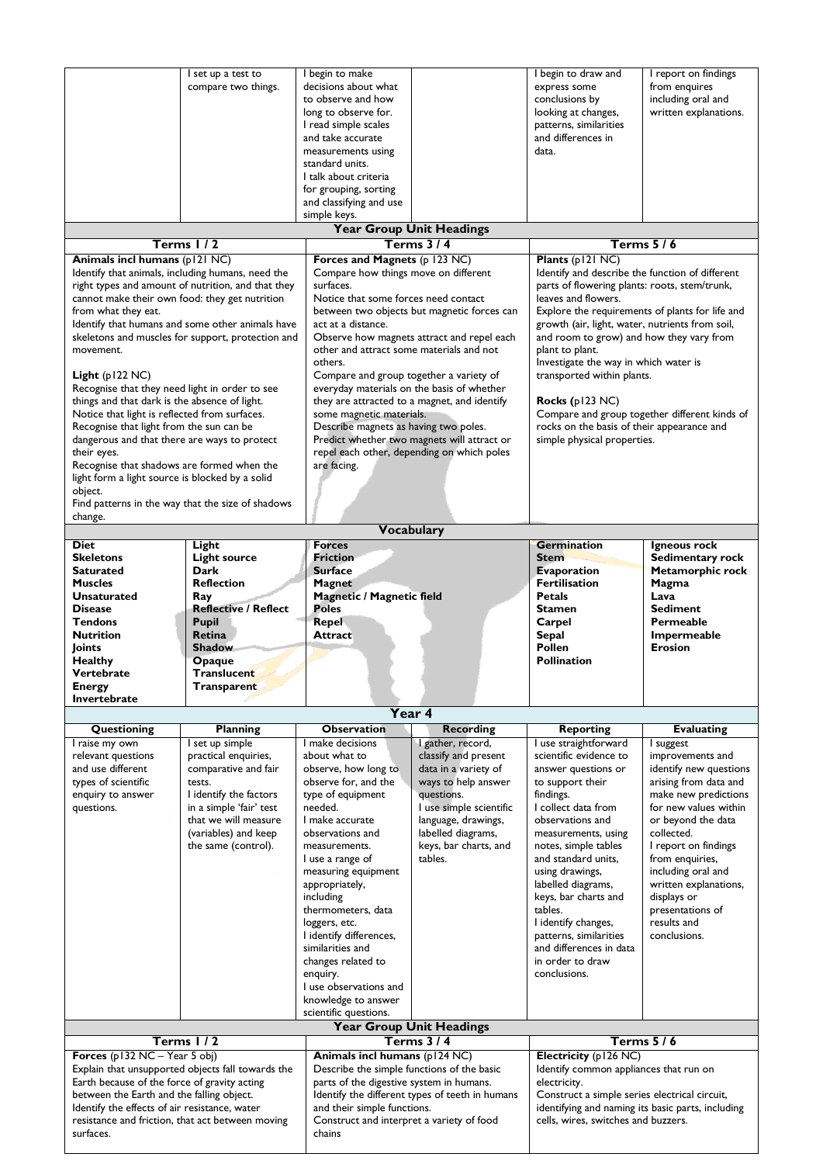|                                                 | I set up a test to                                 | I begin to make                                     |                                                 | I begin to draw and                               | I report on findings                          |
|-------------------------------------------------|----------------------------------------------------|-----------------------------------------------------|-------------------------------------------------|---------------------------------------------------|-----------------------------------------------|
|                                                 | compare two things.                                | decisions about what                                |                                                 | express some                                      | from enquires                                 |
|                                                 |                                                    |                                                     |                                                 |                                                   |                                               |
|                                                 |                                                    | to observe and how                                  |                                                 | conclusions by                                    | including oral and                            |
|                                                 |                                                    | long to observe for.                                |                                                 | looking at changes,                               | written explanations.                         |
|                                                 |                                                    | I read simple scales                                |                                                 | patterns, similarities                            |                                               |
|                                                 |                                                    | and take accurate                                   |                                                 | and differences in                                |                                               |
|                                                 |                                                    | measurements using                                  |                                                 | data.                                             |                                               |
|                                                 |                                                    | standard units.                                     |                                                 |                                                   |                                               |
|                                                 |                                                    | I talk about criteria                               |                                                 |                                                   |                                               |
|                                                 |                                                    | for grouping, sorting                               |                                                 |                                                   |                                               |
|                                                 |                                                    | and classifying and use                             |                                                 |                                                   |                                               |
|                                                 |                                                    | simple keys.                                        |                                                 |                                                   |                                               |
|                                                 |                                                    |                                                     | <b>Year Group Unit Headings</b>                 |                                                   |                                               |
|                                                 | Terms $1/2$                                        |                                                     | Terms $3/4$                                     |                                                   | Terms $5/6$                                   |
| Animals incl humans (p121 NC)                   |                                                    | Forces and Magnets (p 123 NC)                       |                                                 | Plants (p121 NC)                                  |                                               |
|                                                 | Identify that animals, including humans, need the  | Compare how things move on different                |                                                 | Identify and describe the function of different   |                                               |
|                                                 |                                                    | surfaces.                                           |                                                 |                                                   |                                               |
|                                                 | right types and amount of nutrition, and that they |                                                     |                                                 | parts of flowering plants: roots, stem/trunk,     |                                               |
| cannot make their own food: they get nutrition  |                                                    | Notice that some forces need contact                |                                                 | leaves and flowers.                               |                                               |
| from what they eat.                             |                                                    |                                                     | between two objects but magnetic forces can     | Explore the requirements of plants for life and   |                                               |
|                                                 | Identify that humans and some other animals have   | act at a distance.                                  |                                                 | growth (air, light, water, nutrients from soil,   |                                               |
|                                                 | skeletons and muscles for support, protection and  |                                                     | Observe how magnets attract and repel each      | and room to grow) and how they vary from          |                                               |
| movement.                                       |                                                    | other and attract some materials and not            |                                                 | plant to plant.                                   |                                               |
|                                                 |                                                    | others.                                             |                                                 | Investigate the way in which water is             |                                               |
| Light $(p122 NC)$                               |                                                    | Compare and group together a variety of             |                                                 | transported within plants.                        |                                               |
| Recognise that they need light in order to see  |                                                    |                                                     | everyday materials on the basis of whether      |                                                   |                                               |
| things and that dark is the absence of light.   |                                                    |                                                     | they are attracted to a magnet, and identify    | <b>Rocks</b> ( $p123$ NC)                         |                                               |
| Notice that light is reflected from surfaces.   |                                                    | some magnetic materials.                            |                                                 |                                                   | Compare and group together different kinds of |
| Recognise that light from the sun can be        |                                                    | Describe magnets as having two poles.               |                                                 | rocks on the basis of their appearance and        |                                               |
| dangerous and that there are ways to protect    |                                                    |                                                     | Predict whether two magnets will attract or     | simple physical properties.                       |                                               |
| their eyes.                                     |                                                    |                                                     | repel each other, depending on which poles      |                                                   |                                               |
| Recognise that shadows are formed when the      |                                                    | are facing.                                         |                                                 |                                                   |                                               |
| light form a light source is blocked by a solid |                                                    |                                                     |                                                 |                                                   |                                               |
|                                                 |                                                    |                                                     |                                                 |                                                   |                                               |
| object.                                         |                                                    |                                                     |                                                 |                                                   |                                               |
|                                                 | Find patterns in the way that the size of shadows  |                                                     |                                                 |                                                   |                                               |
| change.                                         |                                                    |                                                     |                                                 |                                                   |                                               |
|                                                 |                                                    |                                                     | Vocabulary                                      |                                                   |                                               |
| Diet                                            | Light                                              | <b>Forces</b>                                       |                                                 | <b>Germination</b>                                | Igneous rock                                  |
| <b>Skeletons</b>                                | <b>Light source</b>                                | <b>Friction</b>                                     |                                                 | <b>Stem</b>                                       | Sedimentary rock                              |
| Saturated                                       | Dark                                               | <b>Surface</b>                                      |                                                 | <b>Evaporation</b>                                | Metamorphic rock                              |
|                                                 |                                                    |                                                     |                                                 |                                                   |                                               |
| <b>Muscles</b>                                  | <b>Reflection</b>                                  | Magnet                                              |                                                 | <b>Fertilisation</b>                              | Magma                                         |
| <b>Unsaturated</b>                              | Ray                                                |                                                     |                                                 | <b>Petals</b>                                     | Lava                                          |
| <b>Disease</b>                                  | <b>Reflective / Reflect</b>                        | <b>Magnetic / Magnetic field</b><br><b>Poles</b>    |                                                 | <b>Stamen</b>                                     | <b>Sediment</b>                               |
| <b>Tendons</b>                                  |                                                    |                                                     |                                                 |                                                   | Permeable                                     |
|                                                 | <b>Pupil</b><br><b>Retina</b>                      | <b>Repel</b><br>Attract                             |                                                 | Carpel                                            |                                               |
| <b>Nutrition</b>                                |                                                    |                                                     |                                                 | <b>Sepal</b>                                      | Impermeable<br>Erosion                        |
| Joints                                          | <b>Shadow</b>                                      |                                                     |                                                 | Pollen                                            |                                               |
| <b>Healthy</b>                                  | Opaque                                             |                                                     |                                                 | <b>Pollination</b>                                |                                               |
| Vertebrate                                      | <b>Translucent</b>                                 |                                                     |                                                 |                                                   |                                               |
| <b>Energy</b>                                   | Transparent                                        |                                                     |                                                 |                                                   |                                               |
| Invertebrate                                    |                                                    |                                                     |                                                 |                                                   |                                               |
|                                                 |                                                    |                                                     | Year 4                                          |                                                   |                                               |
| Questioning                                     | <b>Planning</b>                                    | <b>Observation</b>                                  | <b>Recording</b>                                | <b>Reporting</b>                                  | <b>Evaluating</b>                             |
| I raise my own                                  | I set up simple                                    | I make decisions                                    | I gather, record,                               | I use straightforward                             | I suggest                                     |
| relevant questions                              | practical enquiries,                               | about what to                                       | classify and present                            | scientific evidence to                            | improvements and                              |
| and use different                               | comparative and fair                               | observe, how long to                                | data in a variety of                            | answer questions or                               | identify new questions                        |
| types of scientific                             | tests.                                             | observe for, and the                                | ways to help answer                             | to support their                                  | arising from data and                         |
| enquiry to answer                               | I identify the factors                             | type of equipment                                   | questions.                                      | findings.                                         | make new predictions                          |
| questions.                                      | in a simple 'fair' test                            | needed.                                             | I use simple scientific                         | I collect data from                               | for new values within                         |
|                                                 | that we will measure                               | I make accurate                                     | language, drawings,                             | observations and                                  | or beyond the data                            |
|                                                 | (variables) and keep                               | observations and                                    | labelled diagrams,                              | measurements, using                               | collected.                                    |
|                                                 | the same (control).                                | measurements.                                       | keys, bar charts, and                           | notes, simple tables                              | I report on findings                          |
|                                                 |                                                    | I use a range of                                    | tables.                                         | and standard units,                               | from enquiries,                               |
|                                                 |                                                    | measuring equipment                                 |                                                 | using drawings,                                   | including oral and                            |
|                                                 |                                                    | appropriately,                                      |                                                 | labelled diagrams,                                |                                               |
|                                                 |                                                    | including                                           |                                                 | keys, bar charts and                              | written explanations,<br>displays or          |
|                                                 |                                                    | thermometers, data                                  |                                                 | tables.                                           | presentations of                              |
|                                                 |                                                    |                                                     |                                                 |                                                   | results and                                   |
|                                                 |                                                    | loggers, etc.                                       |                                                 | I identify changes,                               | conclusions.                                  |
|                                                 |                                                    | I identify differences,                             |                                                 | patterns, similarities                            |                                               |
|                                                 |                                                    | similarities and                                    |                                                 | and differences in data                           |                                               |
|                                                 |                                                    | changes related to                                  |                                                 | in order to draw<br>conclusions.                  |                                               |
|                                                 |                                                    | enquiry.<br>I use observations and                  |                                                 |                                                   |                                               |
|                                                 |                                                    |                                                     |                                                 |                                                   |                                               |
|                                                 |                                                    | knowledge to answer                                 |                                                 |                                                   |                                               |
|                                                 |                                                    | scientific questions.                               |                                                 |                                                   |                                               |
|                                                 |                                                    |                                                     | <b>Year Group Unit Headings</b>                 |                                                   |                                               |
|                                                 | Terms 1/2                                          |                                                     | <b>Terms 3/4</b>                                |                                                   | <b>Terms 5/6</b>                              |
| Forces $(p132 NC - Year 5 obj)$                 |                                                    | Animals incl humans (p124 NC)                       |                                                 | Electricity (p126 NC)                             |                                               |
|                                                 | Explain that unsupported objects fall towards the  | Describe the simple functions of the basic          |                                                 | Identify common appliances that run on            |                                               |
| Earth because of the force of gravity acting    |                                                    | parts of the digestive system in humans.            |                                                 | electricity.                                      |                                               |
| between the Earth and the falling object.       |                                                    |                                                     | Identify the different types of teeth in humans | Construct a simple series electrical circuit,     |                                               |
| Identify the effects of air resistance, water   |                                                    | and their simple functions.                         |                                                 | identifying and naming its basic parts, including |                                               |
| surfaces.                                       | resistance and friction, that act between moving   | Construct and interpret a variety of food<br>chains |                                                 | cells, wires, switches and buzzers.               |                                               |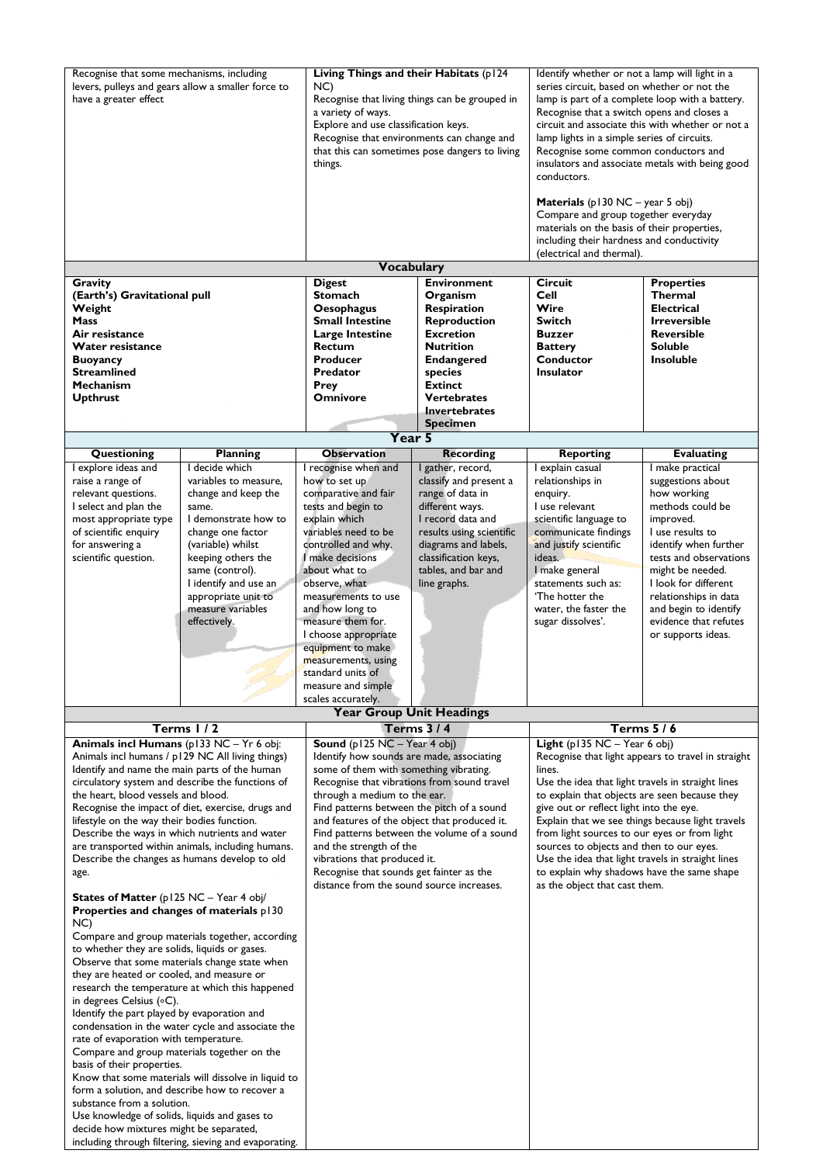| Recognise that some mechanisms, including<br>levers, pulleys and gears allow a smaller force to<br>have a greater effect |                                                     | Living Things and their Habitats (p124<br>NC)<br>Recognise that living things can be grouped in<br>a variety of ways.<br>Explore and use classification keys.<br>Recognise that environments can change and<br>that this can sometimes pose dangers to living<br>things. |                                      | Identify whether or not a lamp will light in a<br>series circuit, based on whether or not the<br>lamp is part of a complete loop with a battery.<br>Recognise that a switch opens and closes a<br>circuit and associate this with whether or not a<br>lamp lights in a simple series of circuits.<br>Recognise some common conductors and<br>insulators and associate metals with being good<br>conductors. |                                                |
|--------------------------------------------------------------------------------------------------------------------------|-----------------------------------------------------|--------------------------------------------------------------------------------------------------------------------------------------------------------------------------------------------------------------------------------------------------------------------------|--------------------------------------|-------------------------------------------------------------------------------------------------------------------------------------------------------------------------------------------------------------------------------------------------------------------------------------------------------------------------------------------------------------------------------------------------------------|------------------------------------------------|
|                                                                                                                          |                                                     |                                                                                                                                                                                                                                                                          |                                      | <b>Materials</b> ( $p130$ NC – year 5 obj)<br>Compare and group together everyday<br>materials on the basis of their properties,<br>including their hardness and conductivity<br>(electrical and thermal).                                                                                                                                                                                                  |                                                |
|                                                                                                                          |                                                     | <b>Vocabulary</b>                                                                                                                                                                                                                                                        |                                      |                                                                                                                                                                                                                                                                                                                                                                                                             |                                                |
| Gravity                                                                                                                  |                                                     | <b>Digest</b>                                                                                                                                                                                                                                                            | <b>Environment</b>                   | <b>Circuit</b>                                                                                                                                                                                                                                                                                                                                                                                              | <b>Properties</b>                              |
| (Earth's) Gravitational pull                                                                                             |                                                     | <b>Stomach</b>                                                                                                                                                                                                                                                           | Organism                             | Cell                                                                                                                                                                                                                                                                                                                                                                                                        | Thermal                                        |
| Weight                                                                                                                   |                                                     | Oesophagus                                                                                                                                                                                                                                                               | Respiration                          | Wire                                                                                                                                                                                                                                                                                                                                                                                                        | <b>Electrical</b>                              |
| Mass                                                                                                                     |                                                     | <b>Small Intestine</b>                                                                                                                                                                                                                                                   | <b>Reproduction</b>                  | <b>Switch</b>                                                                                                                                                                                                                                                                                                                                                                                               | <b>Irreversible</b>                            |
| Air resistance                                                                                                           |                                                     | Large Intestine                                                                                                                                                                                                                                                          | <b>Excretion</b>                     | <b>Buzzer</b>                                                                                                                                                                                                                                                                                                                                                                                               | <b>Reversible</b>                              |
| Water resistance                                                                                                         |                                                     | <b>Rectum</b>                                                                                                                                                                                                                                                            | <b>Nutrition</b>                     | <b>Battery</b>                                                                                                                                                                                                                                                                                                                                                                                              | <b>Soluble</b>                                 |
| <b>Buoyancy</b>                                                                                                          |                                                     | <b>Producer</b>                                                                                                                                                                                                                                                          | <b>Endangered</b>                    | Conductor                                                                                                                                                                                                                                                                                                                                                                                                   | <b>Insoluble</b>                               |
| <b>Streamlined</b>                                                                                                       |                                                     | Predator                                                                                                                                                                                                                                                                 | species                              | Insulator                                                                                                                                                                                                                                                                                                                                                                                                   |                                                |
| Mechanism                                                                                                                |                                                     | Prey<br><b>Omnivore</b>                                                                                                                                                                                                                                                  | <b>Extinct</b><br><b>Vertebrates</b> |                                                                                                                                                                                                                                                                                                                                                                                                             |                                                |
| <b>Upthrust</b>                                                                                                          |                                                     |                                                                                                                                                                                                                                                                          | <b>Invertebrates</b>                 |                                                                                                                                                                                                                                                                                                                                                                                                             |                                                |
|                                                                                                                          |                                                     |                                                                                                                                                                                                                                                                          | <b>Specimen</b>                      |                                                                                                                                                                                                                                                                                                                                                                                                             |                                                |
|                                                                                                                          |                                                     | Year 5                                                                                                                                                                                                                                                                   |                                      |                                                                                                                                                                                                                                                                                                                                                                                                             |                                                |
| Questioning                                                                                                              | <b>Planning</b>                                     | <b>Observation</b>                                                                                                                                                                                                                                                       | <b>Recording</b>                     | <b>Reporting</b>                                                                                                                                                                                                                                                                                                                                                                                            | <b>Evaluating</b>                              |
| I explore ideas and                                                                                                      | I decide which                                      | I recognise when and                                                                                                                                                                                                                                                     | I gather, record,                    | I explain casual                                                                                                                                                                                                                                                                                                                                                                                            | I make practical                               |
| raise a range of                                                                                                         | variables to measure,                               | how to set up                                                                                                                                                                                                                                                            | classify and present a               | relationships in                                                                                                                                                                                                                                                                                                                                                                                            | suggestions about                              |
| relevant questions.                                                                                                      | change and keep the                                 | comparative and fair                                                                                                                                                                                                                                                     | range of data in                     | enquiry.                                                                                                                                                                                                                                                                                                                                                                                                    | how working                                    |
| I select and plan the                                                                                                    | same.                                               | tests and begin to                                                                                                                                                                                                                                                       | different ways.                      | I use relevant                                                                                                                                                                                                                                                                                                                                                                                              | methods could be                               |
| most appropriate type                                                                                                    | I demonstrate how to                                | explain which                                                                                                                                                                                                                                                            | I record data and                    | scientific language to                                                                                                                                                                                                                                                                                                                                                                                      | improved.                                      |
| of scientific enquiry                                                                                                    | change one factor                                   | variables need to be                                                                                                                                                                                                                                                     | results using scientific             | communicate findings                                                                                                                                                                                                                                                                                                                                                                                        | I use results to                               |
| for answering a                                                                                                          | (variable) whilst                                   | controlled and why.                                                                                                                                                                                                                                                      | diagrams and labels,                 | and justify scientific                                                                                                                                                                                                                                                                                                                                                                                      | identify when further                          |
| scientific question.                                                                                                     | keeping others the                                  | I make decisions                                                                                                                                                                                                                                                         | classification keys,                 | ideas.                                                                                                                                                                                                                                                                                                                                                                                                      | tests and observations                         |
|                                                                                                                          | same (control).                                     | about what to                                                                                                                                                                                                                                                            | tables, and bar and                  | I make general                                                                                                                                                                                                                                                                                                                                                                                              | might be needed.                               |
|                                                                                                                          | I identify and use an                               | observe, what                                                                                                                                                                                                                                                            | line graphs.                         | statements such as:<br>'The hotter the                                                                                                                                                                                                                                                                                                                                                                      | I look for different                           |
|                                                                                                                          | appropriate unit to<br>measure variables            | measurements to use<br>and how long to                                                                                                                                                                                                                                   |                                      | water, the faster the                                                                                                                                                                                                                                                                                                                                                                                       | relationships in data<br>and begin to identify |
|                                                                                                                          | effectively.                                        | measure them for.                                                                                                                                                                                                                                                        |                                      | sugar dissolves'.                                                                                                                                                                                                                                                                                                                                                                                           | evidence that refutes                          |
|                                                                                                                          |                                                     | I choose appropriate                                                                                                                                                                                                                                                     |                                      |                                                                                                                                                                                                                                                                                                                                                                                                             | or supports ideas.                             |
|                                                                                                                          |                                                     | equipment to make                                                                                                                                                                                                                                                        |                                      |                                                                                                                                                                                                                                                                                                                                                                                                             |                                                |
|                                                                                                                          |                                                     | measurements, using                                                                                                                                                                                                                                                      |                                      |                                                                                                                                                                                                                                                                                                                                                                                                             |                                                |
|                                                                                                                          |                                                     | standard units of                                                                                                                                                                                                                                                        |                                      |                                                                                                                                                                                                                                                                                                                                                                                                             |                                                |
|                                                                                                                          |                                                     | measure and simple<br>scales accurately.                                                                                                                                                                                                                                 |                                      |                                                                                                                                                                                                                                                                                                                                                                                                             |                                                |
|                                                                                                                          |                                                     |                                                                                                                                                                                                                                                                          | <b>Year Group Unit Headings</b>      |                                                                                                                                                                                                                                                                                                                                                                                                             |                                                |
|                                                                                                                          | Terms 1/2                                           |                                                                                                                                                                                                                                                                          | <b>Terms 3/4</b>                     |                                                                                                                                                                                                                                                                                                                                                                                                             | <b>Terms 5/6</b>                               |
| Animals incl Humans (p133 NC - Yr 6 obj:                                                                                 |                                                     | <b>Sound</b> $(p125 NC - Year 4 obj)$<br><b>Light</b> ( $p135$ NC – Year 6 obj)                                                                                                                                                                                          |                                      |                                                                                                                                                                                                                                                                                                                                                                                                             |                                                |
|                                                                                                                          | Animals incl humans / p129 NC All living things)    | Identify how sounds are made, associating                                                                                                                                                                                                                                |                                      | Recognise that light appears to travel in straight                                                                                                                                                                                                                                                                                                                                                          |                                                |
| Identify and name the main parts of the human                                                                            |                                                     | some of them with something vibrating.                                                                                                                                                                                                                                   |                                      | lines.                                                                                                                                                                                                                                                                                                                                                                                                      |                                                |
|                                                                                                                          | circulatory system and describe the functions of    | Recognise that vibrations from sound travel                                                                                                                                                                                                                              |                                      | Use the idea that light travels in straight lines                                                                                                                                                                                                                                                                                                                                                           |                                                |
| the heart, blood vessels and blood.                                                                                      |                                                     | through a medium to the ear.                                                                                                                                                                                                                                             |                                      | to explain that objects are seen because they                                                                                                                                                                                                                                                                                                                                                               |                                                |
| lifestyle on the way their bodies function.                                                                              | Recognise the impact of diet, exercise, drugs and   | Find patterns between the pitch of a sound                                                                                                                                                                                                                               |                                      | give out or reflect light into the eye.<br>Explain that we see things because light travels                                                                                                                                                                                                                                                                                                                 |                                                |
| Describe the ways in which nutrients and water                                                                           |                                                     | and features of the object that produced it.<br>Find patterns between the volume of a sound                                                                                                                                                                              |                                      | from light sources to our eyes or from light                                                                                                                                                                                                                                                                                                                                                                |                                                |
|                                                                                                                          | are transported within animals, including humans.   | and the strength of the                                                                                                                                                                                                                                                  |                                      | sources to objects and then to our eyes.                                                                                                                                                                                                                                                                                                                                                                    |                                                |
| Describe the changes as humans develop to old                                                                            |                                                     | vibrations that produced it.                                                                                                                                                                                                                                             |                                      | Use the idea that light travels in straight lines                                                                                                                                                                                                                                                                                                                                                           |                                                |
| age.                                                                                                                     |                                                     | Recognise that sounds get fainter as the                                                                                                                                                                                                                                 |                                      | to explain why shadows have the same shape                                                                                                                                                                                                                                                                                                                                                                  |                                                |
|                                                                                                                          |                                                     | distance from the sound source increases.                                                                                                                                                                                                                                |                                      | as the object that cast them.                                                                                                                                                                                                                                                                                                                                                                               |                                                |
| States of Matter (p125 NC - Year 4 obj/<br>Properties and changes of materials p130<br>NC)                               |                                                     |                                                                                                                                                                                                                                                                          |                                      |                                                                                                                                                                                                                                                                                                                                                                                                             |                                                |
|                                                                                                                          | Compare and group materials together, according     |                                                                                                                                                                                                                                                                          |                                      |                                                                                                                                                                                                                                                                                                                                                                                                             |                                                |
| to whether they are solids, liquids or gases.                                                                            |                                                     |                                                                                                                                                                                                                                                                          |                                      |                                                                                                                                                                                                                                                                                                                                                                                                             |                                                |
|                                                                                                                          | Observe that some materials change state when       |                                                                                                                                                                                                                                                                          |                                      |                                                                                                                                                                                                                                                                                                                                                                                                             |                                                |
| they are heated or cooled, and measure or                                                                                | research the temperature at which this happened     |                                                                                                                                                                                                                                                                          |                                      |                                                                                                                                                                                                                                                                                                                                                                                                             |                                                |
| in degrees Celsius (°C).                                                                                                 |                                                     |                                                                                                                                                                                                                                                                          |                                      |                                                                                                                                                                                                                                                                                                                                                                                                             |                                                |
| Identify the part played by evaporation and                                                                              |                                                     |                                                                                                                                                                                                                                                                          |                                      |                                                                                                                                                                                                                                                                                                                                                                                                             |                                                |
|                                                                                                                          | condensation in the water cycle and associate the   |                                                                                                                                                                                                                                                                          |                                      |                                                                                                                                                                                                                                                                                                                                                                                                             |                                                |
| rate of evaporation with temperature.                                                                                    |                                                     |                                                                                                                                                                                                                                                                          |                                      |                                                                                                                                                                                                                                                                                                                                                                                                             |                                                |
| Compare and group materials together on the                                                                              |                                                     |                                                                                                                                                                                                                                                                          |                                      |                                                                                                                                                                                                                                                                                                                                                                                                             |                                                |
| basis of their properties.                                                                                               | Know that some materials will dissolve in liquid to |                                                                                                                                                                                                                                                                          |                                      |                                                                                                                                                                                                                                                                                                                                                                                                             |                                                |
| form a solution, and describe how to recover a                                                                           |                                                     |                                                                                                                                                                                                                                                                          |                                      |                                                                                                                                                                                                                                                                                                                                                                                                             |                                                |
| substance from a solution.                                                                                               |                                                     |                                                                                                                                                                                                                                                                          |                                      |                                                                                                                                                                                                                                                                                                                                                                                                             |                                                |
| Use knowledge of solids, liquids and gases to                                                                            |                                                     |                                                                                                                                                                                                                                                                          |                                      |                                                                                                                                                                                                                                                                                                                                                                                                             |                                                |
| decide how mixtures might be separated,<br>including through filtering, sieving and evaporating.                         |                                                     |                                                                                                                                                                                                                                                                          |                                      |                                                                                                                                                                                                                                                                                                                                                                                                             |                                                |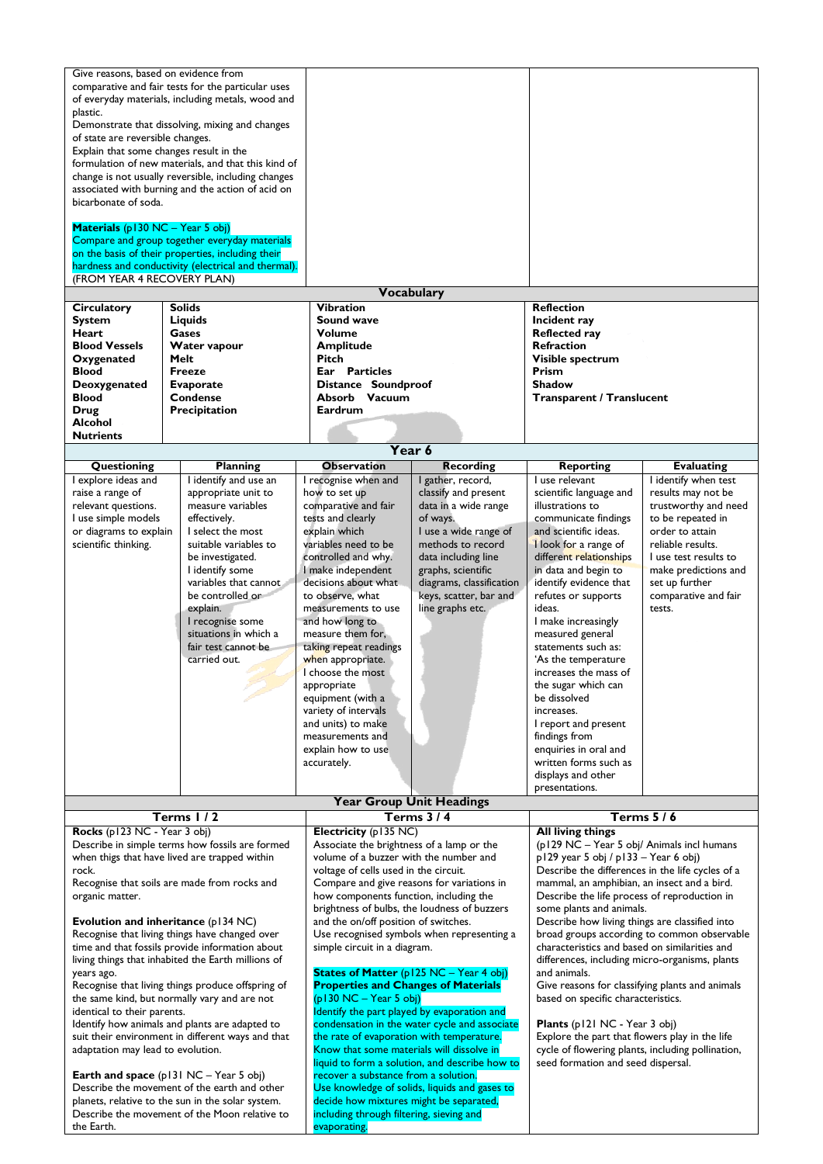| Give reasons, based on evidence from<br>comparative and fair tests for the particular uses<br>of everyday materials, including metals, wood and<br>plastic.<br>Demonstrate that dissolving, mixing and changes<br>of state are reversible changes.<br>Explain that some changes result in the<br>formulation of new materials, and that this kind of<br>change is not usually reversible, including changes<br>associated with burning and the action of acid on<br>bicarbonate of soda.<br>Materials (p130 NC - Year 5 obj)<br>Compare and group together everyday materials<br>on the basis of their properties, including their<br>hardness and conductivity (electrical and thermal).<br>(FROM YEAR 4 RECOVERY PLAN)<br><b>Solids</b><br>Circulatory<br><b>System</b><br>Liquids<br>Heart<br>Gases<br><b>Blood Vessels</b><br>Water vapour<br>Melt<br>Oxygenated<br>Blood<br>Freeze                                                                    |                                                                                                                                                                                                                                                                                                                     | <b>Vocabulary</b><br><b>Vibration</b><br>Sound wave<br><b>Volume</b><br><b>Amplitude</b><br>Pitch<br>Ear Particles<br>Distance Soundproof<br>Absorb Vacuum                                                                                                                                                                                                                                                                                                                                                                                                                                                                                                                                                                                                                                |                                                                                                                                                                                                                                                    | <b>Reflection</b><br>Incident ray<br><b>Reflected ray</b><br><b>Refraction</b><br>Visible spectrum<br>Prism<br><b>Shadow</b><br><b>Transparent / Translucent</b>                                                                                                                                                                                                                                                                                                                                                                                                                                                                                                                                                                                 |                                                                                                                                                                                                                                      |
|------------------------------------------------------------------------------------------------------------------------------------------------------------------------------------------------------------------------------------------------------------------------------------------------------------------------------------------------------------------------------------------------------------------------------------------------------------------------------------------------------------------------------------------------------------------------------------------------------------------------------------------------------------------------------------------------------------------------------------------------------------------------------------------------------------------------------------------------------------------------------------------------------------------------------------------------------------|---------------------------------------------------------------------------------------------------------------------------------------------------------------------------------------------------------------------------------------------------------------------------------------------------------------------|-------------------------------------------------------------------------------------------------------------------------------------------------------------------------------------------------------------------------------------------------------------------------------------------------------------------------------------------------------------------------------------------------------------------------------------------------------------------------------------------------------------------------------------------------------------------------------------------------------------------------------------------------------------------------------------------------------------------------------------------------------------------------------------------|----------------------------------------------------------------------------------------------------------------------------------------------------------------------------------------------------------------------------------------------------|--------------------------------------------------------------------------------------------------------------------------------------------------------------------------------------------------------------------------------------------------------------------------------------------------------------------------------------------------------------------------------------------------------------------------------------------------------------------------------------------------------------------------------------------------------------------------------------------------------------------------------------------------------------------------------------------------------------------------------------------------|--------------------------------------------------------------------------------------------------------------------------------------------------------------------------------------------------------------------------------------|
| <b>Blood</b><br>Drug                                                                                                                                                                                                                                                                                                                                                                                                                                                                                                                                                                                                                                                                                                                                                                                                                                                                                                                                       | <b>Condense</b><br>Precipitation                                                                                                                                                                                                                                                                                    | <b>Eardrum</b>                                                                                                                                                                                                                                                                                                                                                                                                                                                                                                                                                                                                                                                                                                                                                                            |                                                                                                                                                                                                                                                    |                                                                                                                                                                                                                                                                                                                                                                                                                                                                                                                                                                                                                                                                                                                                                  |                                                                                                                                                                                                                                      |
| Alcohol<br><b>Nutrients</b>                                                                                                                                                                                                                                                                                                                                                                                                                                                                                                                                                                                                                                                                                                                                                                                                                                                                                                                                |                                                                                                                                                                                                                                                                                                                     |                                                                                                                                                                                                                                                                                                                                                                                                                                                                                                                                                                                                                                                                                                                                                                                           |                                                                                                                                                                                                                                                    |                                                                                                                                                                                                                                                                                                                                                                                                                                                                                                                                                                                                                                                                                                                                                  |                                                                                                                                                                                                                                      |
|                                                                                                                                                                                                                                                                                                                                                                                                                                                                                                                                                                                                                                                                                                                                                                                                                                                                                                                                                            |                                                                                                                                                                                                                                                                                                                     | Year 6                                                                                                                                                                                                                                                                                                                                                                                                                                                                                                                                                                                                                                                                                                                                                                                    |                                                                                                                                                                                                                                                    |                                                                                                                                                                                                                                                                                                                                                                                                                                                                                                                                                                                                                                                                                                                                                  |                                                                                                                                                                                                                                      |
| Questioning                                                                                                                                                                                                                                                                                                                                                                                                                                                                                                                                                                                                                                                                                                                                                                                                                                                                                                                                                | <b>Planning</b>                                                                                                                                                                                                                                                                                                     | <b>Observation</b>                                                                                                                                                                                                                                                                                                                                                                                                                                                                                                                                                                                                                                                                                                                                                                        | <b>Recording</b>                                                                                                                                                                                                                                   | <b>Reporting</b>                                                                                                                                                                                                                                                                                                                                                                                                                                                                                                                                                                                                                                                                                                                                 | <b>Evaluating</b>                                                                                                                                                                                                                    |
| I explore ideas and<br>raise a range of<br>relevant questions.<br>I use simple models<br>or diagrams to explain<br>scientific thinking.                                                                                                                                                                                                                                                                                                                                                                                                                                                                                                                                                                                                                                                                                                                                                                                                                    | I identify and use an<br>appropriate unit to<br>measure variables<br>effectively.<br>I select the most<br>suitable variables to<br>be investigated.<br>I identify some<br>variables that cannot<br>be controlled or<br>explain.<br>I recognise some<br>situations in which a<br>fair test cannot be<br>carried out. | I recognise when and<br>how to set up<br>comparative and fair<br>tests and clearly<br>explain which<br>variables need to be<br>controlled and why.<br>I make independent<br>decisions about what<br>to observe, what<br>measurements to use<br>and how long to<br>measure them for,<br>taking repeat readings<br>when appropriate.<br>I choose the most<br>appropriate<br>equipment (with a<br>variety of intervals<br>and units) to make<br>measurements and<br>explain how to use<br>accurately.                                                                                                                                                                                                                                                                                        | I gather, record,<br>classify and present<br>data in a wide range<br>of ways.<br>I use a wide range of<br>methods to record<br>data including line<br>graphs, scientific<br>diagrams, classification<br>keys, scatter, bar and<br>line graphs etc. | I use relevant<br>scientific language and<br>illustrations to<br>communicate findings<br>and scientific ideas.<br>I look for a range of<br>different relationships<br>in data and begin to<br>identify evidence that<br>refutes or supports<br>ideas.<br>I make increasingly<br>measured general<br>statements such as:<br>'As the temperature<br>increases the mass of<br>the sugar which can<br>be dissolved<br>increases.<br>I report and present<br>findings from<br>enquiries in oral and<br>written forms such as<br>displays and other<br>presentations.                                                                                                                                                                                  | I identify when test<br>results may not be<br>trustworthy and need<br>to be repeated in<br>order to attain<br>reliable results.<br>I use test results to<br>make predictions and<br>set up further<br>comparative and fair<br>tests. |
|                                                                                                                                                                                                                                                                                                                                                                                                                                                                                                                                                                                                                                                                                                                                                                                                                                                                                                                                                            |                                                                                                                                                                                                                                                                                                                     | <b>Year Group Unit Headings</b><br>Terms $3/4$                                                                                                                                                                                                                                                                                                                                                                                                                                                                                                                                                                                                                                                                                                                                            |                                                                                                                                                                                                                                                    | Terms 5/6                                                                                                                                                                                                                                                                                                                                                                                                                                                                                                                                                                                                                                                                                                                                        |                                                                                                                                                                                                                                      |
| Terms 1/2<br>Rocks (p123 NC - Year 3 obj)<br>Describe in simple terms how fossils are formed<br>when thigs that have lived are trapped within<br>rock.<br>Recognise that soils are made from rocks and<br>organic matter.<br>Evolution and inheritance $(p134 \text{ NC})$<br>Recognise that living things have changed over<br>time and that fossils provide information about<br>living things that inhabited the Earth millions of<br>years ago.<br>Recognise that living things produce offspring of<br>the same kind, but normally vary and are not<br>identical to their parents.<br>Identify how animals and plants are adapted to<br>suit their environment in different ways and that<br>adaptation may lead to evolution.<br><b>Earth and space</b> $(p131 NC - Year 5 obj)$<br>Describe the movement of the earth and other<br>planets, relative to the sun in the solar system.<br>Describe the movement of the Moon relative to<br>the Earth. |                                                                                                                                                                                                                                                                                                                     | Electricity (p135 NC)<br>Associate the brightness of a lamp or the<br>volume of a buzzer with the number and<br>voltage of cells used in the circuit.<br>Compare and give reasons for variations in<br>how components function, including the<br>brightness of bulbs, the loudness of buzzers<br>and the on/off position of switches.<br>simple circuit in a diagram.<br><b>States of Matter (p125 NC - Year 4 obj)</b><br><b>Properties and Changes of Materials</b><br>$(p130 NC - Year 5 obj)$<br>Identify the part played by evaporation and<br>the rate of evaporation with temperature.<br>Know that some materials will dissolve in<br>recover a substance from a solution.<br>decide how mixtures might be separated,<br>including through filtering, sieving and<br>evaporating. | Use recognised symbols when representing a<br>condensation in the water cycle and associate<br>liquid to form a solution, and describe how to<br>Use knowledge of solids, liquids and gases to                                                     | <b>All living things</b><br>(p129 NC - Year 5 obj/ Animals incl humans<br>p129 year 5 obj / p133 - Year 6 obj)<br>Describe the differences in the life cycles of a<br>mammal, an amphibian, an insect and a bird.<br>Describe the life process of reproduction in<br>some plants and animals.<br>Describe how living things are classified into<br>characteristics and based on similarities and<br>differences, including micro-organisms, plants<br>and animals.<br>Give reasons for classifying plants and animals<br>based on specific characteristics.<br><b>Plants</b> (p121 NC - Year 3 obj)<br>Explore the part that flowers play in the life<br>cycle of flowering plants, including pollination,<br>seed formation and seed dispersal. | broad groups according to common observable                                                                                                                                                                                          |